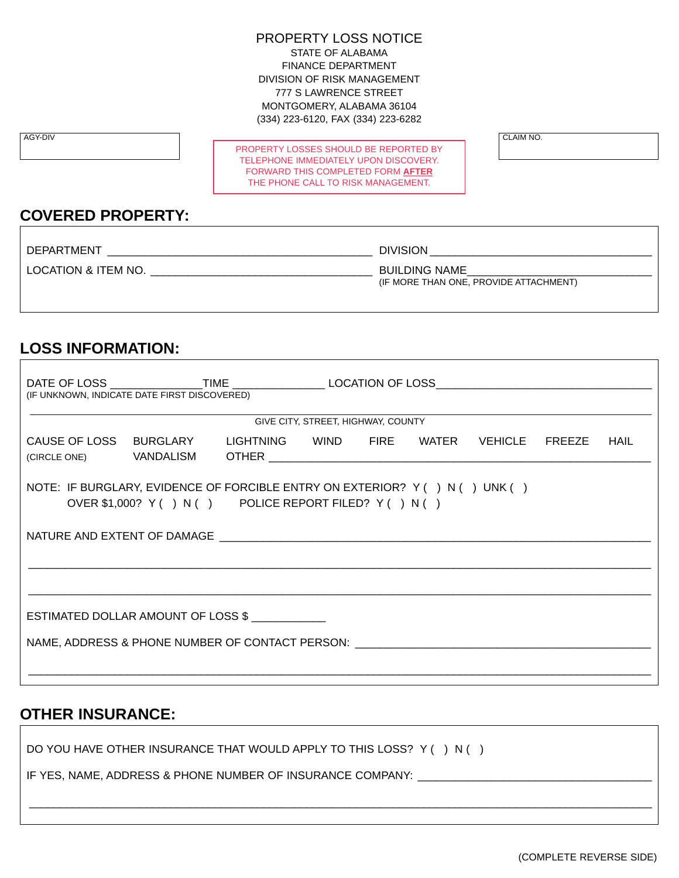#### PROPERTY LOSS NOTICE

STATE OF ALABAMA FINANCE DEPARTMENT DIVISION OF RISK MANAGEMENT 777 S LAWRENCE STREET MONTGOMERY, ALABAMA 36104 (334) 223-6120, FAX (334) 223-6282

PROPERTY LOSSES SHOULD BE REPORTED BY TELEPHONE IMMEDIATELY UPON DISCOVERY. FORWARD THIS COMPLETED FORM **AFTER** THE PHONE CALL TO RISK MANAGEMENT.

AGY-DIV CLAIM NO.

### **COVERED PROPERTY:**

| <b>DEPARTMENT</b>   | <b>DIVISION</b>                                                |  |
|---------------------|----------------------------------------------------------------|--|
| LOCATION & ITEM NO. | <b>BUILDING NAME</b><br>(IF MORE THAN ONE, PROVIDE ATTACHMENT) |  |

## **LOSS INFORMATION:**

| DATE OF LOSS ________________TIME __________________LOCATION OF LOSS_______________________________<br>(IF UNKNOWN, INDICATE DATE FIRST DISCOVERED) |  |                                               |  |  |  |  |  |
|-----------------------------------------------------------------------------------------------------------------------------------------------------|--|-----------------------------------------------|--|--|--|--|--|
| GIVE CITY, STREET, HIGHWAY, COUNTY                                                                                                                  |  |                                               |  |  |  |  |  |
| CAUSE OF LOSS BURGLARY                                                                                                                              |  | LIGHTNING WIND FIRE WATER VEHICLE FREEZE HAIL |  |  |  |  |  |
| NOTE: IF BURGLARY, EVIDENCE OF FORCIBLE ENTRY ON EXTERIOR? Y () N () UNK ()<br>OVER \$1,000? Y () N () POLICE REPORT FILED? Y () N ()               |  |                                               |  |  |  |  |  |
|                                                                                                                                                     |  |                                               |  |  |  |  |  |
|                                                                                                                                                     |  |                                               |  |  |  |  |  |
| ESTIMATED DOLLAR AMOUNT OF LOSS \$                                                                                                                  |  |                                               |  |  |  |  |  |
| NAME, ADDRESS & PHONE NUMBER OF CONTACT PERSON:                                                                                                     |  |                                               |  |  |  |  |  |

\_\_\_\_\_\_\_\_\_\_\_\_\_\_\_\_\_\_\_\_\_\_\_\_\_\_\_\_\_\_\_\_\_\_\_\_\_\_\_\_\_\_\_\_\_\_\_\_\_\_\_\_\_\_\_\_\_\_\_\_\_\_\_\_\_\_\_\_\_\_\_\_\_\_\_\_\_\_\_\_\_\_\_\_\_\_\_\_\_\_\_\_\_\_\_\_\_\_\_\_\_

#### **OTHER INSURANCE:**

DO YOU HAVE OTHER INSURANCE THAT WOULD APPLY TO THIS LOSS? Y ( ) N ( )

IF YES, NAME, ADDRESS & PHONE NUMBER OF INSURANCE COMPANY: \_\_\_\_\_\_\_\_\_\_\_\_\_